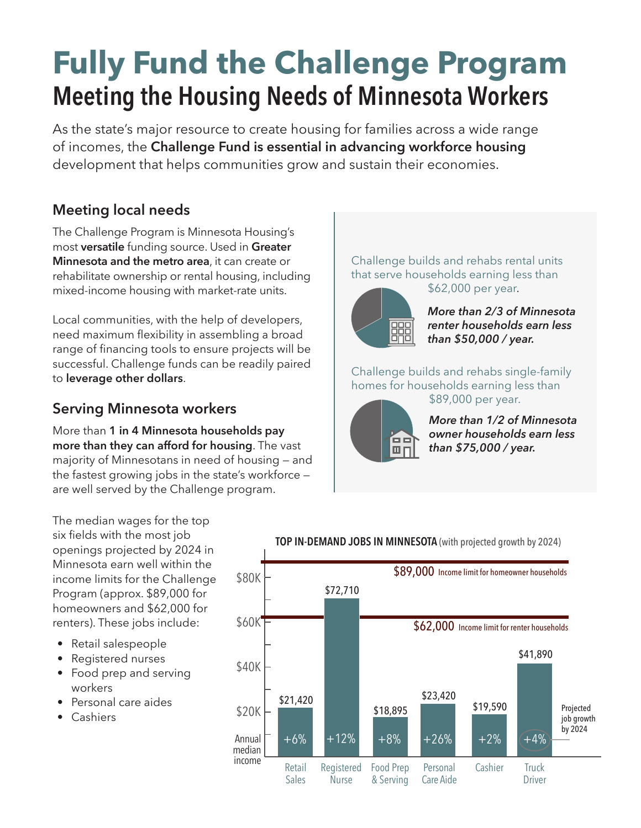# **Fully Fund the Challenge Program Meeting the Housing Needs of Minnesota Workers**

As the state's major resource to create housing for families across a wide range of incomes, the **Challenge Fund is essential in advancing workforce housing** development that helps communities grow and sustain their economies.

## **Meeting local needs**

The Challenge Program is Minnesota Housing's most **versatile** funding source. Used in **Greater Minnesota and the metro area**, it can create or rehabilitate ownership or rental housing, including mixed-income housing with market-rate units.

Local communities, with the help of developers, need maximum flexibility in assembling a broad range of financing tools to ensure projects will be successful. Challenge funds can be readily paired to **leverage other dollars**.

#### **Serving Minnesota workers**

More than **1 in 4 Minnesota households pay more than they can afford for housing**. The vast majority of Minnesotans in need of housing — and the fastest growing jobs in the state's workforce are well served by the Challenge program.

Challenge builds and rehabs rental units that serve households earning less than \$62,000 per year.



*More than 2/3 of Minnesota renter households earn less than \$50,000 / year.* 

Challenge builds and rehabs single-family homes for households earning less than \$89,000 per year.



*More than 1/2 of Minnesota owner households earn less than \$75,000 / year.* 

The median wages for the top six fields with the most job openings projected by 2024 in Minnesota earn well within the income limits for the Challenge Program (approx. \$89,000 for homeowners and \$62,000 for renters). These jobs include:

- Retail salespeople
- Registered nurses
- Food prep and serving workers
- Personal care aides
- Cashiers



#### **TOP IN-DEMAND JOBS IN MINNESOTA** (with projected growth by 2024)